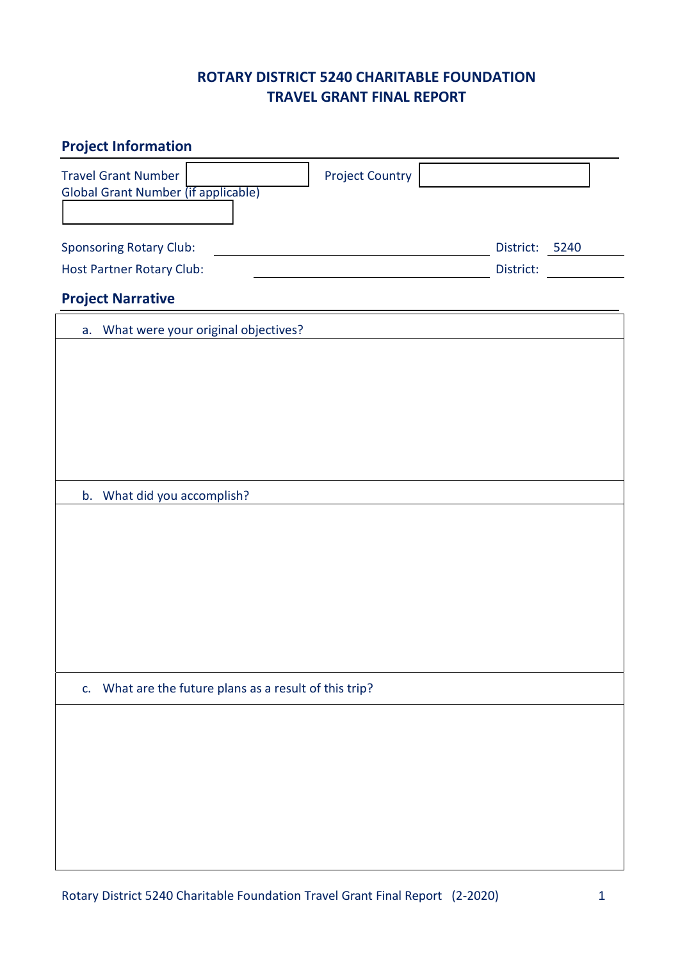# **ROTARY DISTRICT 5240 CHARITABLE FOUNDATION TRAVEL GRANT FINAL REPORT**

| <b>Project Information</b>                                                                         |                   |  |
|----------------------------------------------------------------------------------------------------|-------------------|--|
| <b>Project Country</b><br><b>Travel Grant Number</b><br><b>Global Grant Number (if applicable)</b> |                   |  |
|                                                                                                    |                   |  |
| <b>Sponsoring Rotary Club:</b>                                                                     | District:<br>5240 |  |
| Host Partner Rotary Club:                                                                          | District:         |  |
| <b>Project Narrative</b>                                                                           |                   |  |
| What were your original objectives?<br>a.                                                          |                   |  |
|                                                                                                    |                   |  |
|                                                                                                    |                   |  |
|                                                                                                    |                   |  |
|                                                                                                    |                   |  |
|                                                                                                    |                   |  |
|                                                                                                    |                   |  |
| What did you accomplish?<br>b.                                                                     |                   |  |
|                                                                                                    |                   |  |
|                                                                                                    |                   |  |
|                                                                                                    |                   |  |
|                                                                                                    |                   |  |
|                                                                                                    |                   |  |
|                                                                                                    |                   |  |
| What are the future plans as a result of this trip?<br>c.                                          |                   |  |
|                                                                                                    |                   |  |
|                                                                                                    |                   |  |
|                                                                                                    |                   |  |
|                                                                                                    |                   |  |
|                                                                                                    |                   |  |
|                                                                                                    |                   |  |
|                                                                                                    |                   |  |
|                                                                                                    |                   |  |